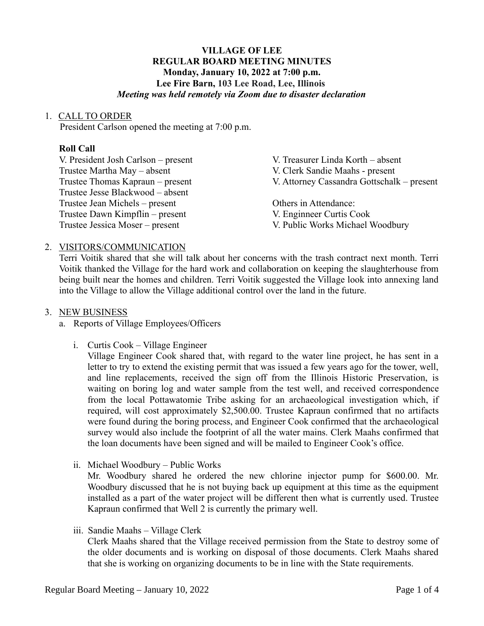# **VILLAGE OF LEE REGULAR BOARD MEETING MINUTES Monday, January 10, 2022 at 7:00 p.m. Lee Fire Barn, 103 Lee Road, Lee, Illinois** *Meeting was held remotely via Zoom due to disaster declaration*

## 1. CALL TO ORDER

President Carlson opened the meeting at 7:00 p.m.

## **Roll Call**

| V. President Josh Carlson – present | V. Treasurer Linda Korth – absent          |
|-------------------------------------|--------------------------------------------|
| Trustee Martha May - absent         | V. Clerk Sandie Maahs - present            |
| Trustee Thomas Kapraun – present    | V. Attorney Cassandra Gottschalk – present |
| Trustee Jesse Blackwood – absent    |                                            |
| Trustee Jean Michels – present      | Others in Attendance:                      |
| Trustee Dawn Kimpflin – present     | V. Enginneer Curtis Cook                   |
| Trustee Jessica Moser – present     | V. Public Works Michael Woodbury           |

# 2. VISITORS/COMMUNICATION

Terri Voitik shared that she will talk about her concerns with the trash contract next month. Terri Voitik thanked the Village for the hard work and collaboration on keeping the slaughterhouse from being built near the homes and children. Terri Voitik suggested the Village look into annexing land into the Village to allow the Village additional control over the land in the future.

## 3. NEW BUSINESS

- a. Reports of Village Employees/Officers
	- i. Curtis Cook Village Engineer

Village Engineer Cook shared that, with regard to the water line project, he has sent in a letter to try to extend the existing permit that was issued a few years ago for the tower, well, and line replacements, received the sign off from the Illinois Historic Preservation, is waiting on boring log and water sample from the test well, and received correspondence from the local Pottawatomie Tribe asking for an archaeological investigation which, if required, will cost approximately \$2,500.00. Trustee Kapraun confirmed that no artifacts were found during the boring process, and Engineer Cook confirmed that the archaeological survey would also include the footprint of all the water mains. Clerk Maahs confirmed that the loan documents have been signed and will be mailed to Engineer Cook's office.

ii. Michael Woodbury – Public Works

Mr. Woodbury shared he ordered the new chlorine injector pump for \$600.00. Mr. Woodbury discussed that he is not buying back up equipment at this time as the equipment installed as a part of the water project will be different then what is currently used. Trustee Kapraun confirmed that Well 2 is currently the primary well.

iii. Sandie Maahs – Village Clerk

Clerk Maahs shared that the Village received permission from the State to destroy some of the older documents and is working on disposal of those documents. Clerk Maahs shared that she is working on organizing documents to be in line with the State requirements.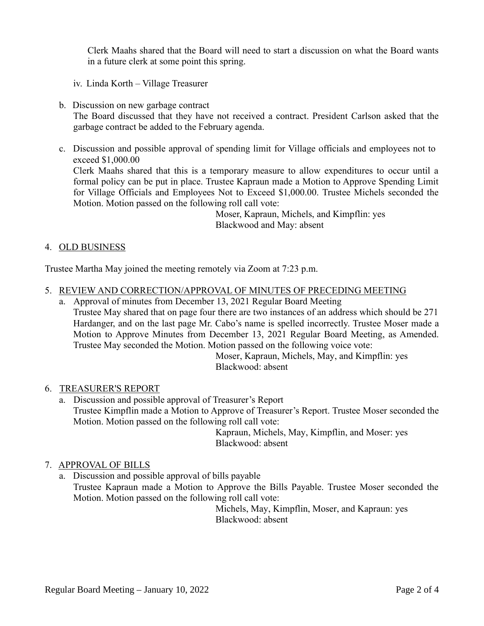Clerk Maahs shared that the Board will need to start a discussion on what the Board wants in a future clerk at some point this spring.

- iv. Linda Korth Village Treasurer
- b. Discussion on new garbage contract The Board discussed that they have not received a contract. President Carlson asked that the garbage contract be added to the February agenda.
- c. Discussion and possible approval of spending limit for Village officials and employees not to exceed \$1,000.00

Clerk Maahs shared that this is a temporary measure to allow expenditures to occur until a formal policy can be put in place. Trustee Kapraun made a Motion to Approve Spending Limit for Village Officials and Employees Not to Exceed \$1,000.00. Trustee Michels seconded the Motion. Motion passed on the following roll call vote:

> Moser, Kapraun, Michels, and Kimpflin: yes Blackwood and May: absent

## 4. OLD BUSINESS

Trustee Martha May joined the meeting remotely via Zoom at 7:23 p.m.

- 5. REVIEW AND CORRECTION/APPROVAL OF MINUTES OF PRECEDING MEETING
	- a. Approval of minutes from December 13, 2021 Regular Board Meeting Trustee May shared that on page four there are two instances of an address which should be 271 Hardanger, and on the last page Mr. Cabo's name is spelled incorrectly. Trustee Moser made a Motion to Approve Minutes from December 13, 2021 Regular Board Meeting, as Amended. Trustee May seconded the Motion. Motion passed on the following voice vote:

Moser, Kapraun, Michels, May, and Kimpflin: yes Blackwood: absent

## 6. TREASURER'S REPORT

a. Discussion and possible approval of Treasurer's Report Trustee Kimpflin made a Motion to Approve of Treasurer's Report. Trustee Moser seconded the Motion. Motion passed on the following roll call vote:

Kapraun, Michels, May, Kimpflin, and Moser: yes Blackwood: absent

# 7. APPROVAL OF BILLS

a. Discussion and possible approval of bills payable Trustee Kapraun made a Motion to Approve the Bills Payable. Trustee Moser seconded the Motion. Motion passed on the following roll call vote:

Michels, May, Kimpflin, Moser, and Kapraun: yes Blackwood: absent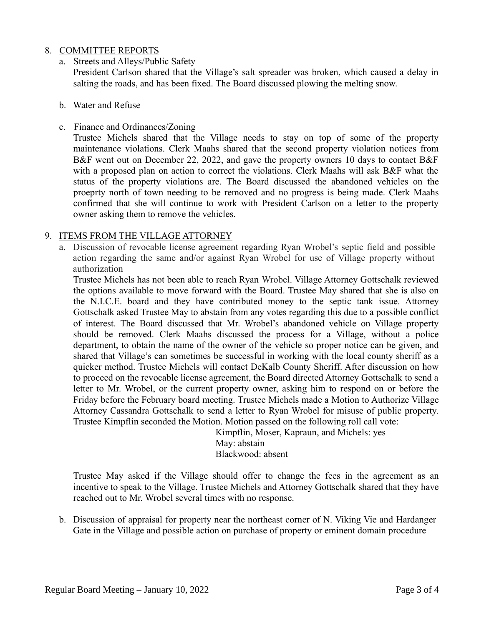## 8. COMMITTEE REPORTS

a. Streets and Alleys/Public Safety

President Carlson shared that the Village's salt spreader was broken, which caused a delay in salting the roads, and has been fixed. The Board discussed plowing the melting snow.

- b. Water and Refuse
- c. Finance and Ordinances/Zoning

Trustee Michels shared that the Village needs to stay on top of some of the property maintenance violations. Clerk Maahs shared that the second property violation notices from B&F went out on December 22, 2022, and gave the property owners 10 days to contact B&F with a proposed plan on action to correct the violations. Clerk Maahs will ask B&F what the status of the property violations are. The Board discussed the abandoned vehicles on the proeprty north of town needing to be removed and no progress is being made. Clerk Maahs confirmed that she will continue to work with President Carlson on a letter to the property owner asking them to remove the vehicles.

### 9. ITEMS FROM THE VILLAGE ATTORNEY

a. Discussion of revocable license agreement regarding Ryan Wrobel's septic field and possible action regarding the same and/or against Ryan Wrobel for use of Village property without authorization

Trustee Michels has not been able to reach Ryan Wrobel. Village Attorney Gottschalk reviewed the options available to move forward with the Board. Trustee May shared that she is also on the N.I.C.E. board and they have contributed money to the septic tank issue. Attorney Gottschalk asked Trustee May to abstain from any votes regarding this due to a possible conflict of interest. The Board discussed that Mr. Wrobel's abandoned vehicle on Village property should be removed. Clerk Maahs discussed the process for a Village, without a police department, to obtain the name of the owner of the vehicle so proper notice can be given, and shared that Village's can sometimes be successful in working with the local county sheriff as a quicker method. Trustee Michels will contact DeKalb County Sheriff. After discussion on how to proceed on the revocable license agreement, the Board directed Attorney Gottschalk to send a letter to Mr. Wrobel, or the current property owner, asking him to respond on or before the Friday before the February board meeting. Trustee Michels made a Motion to Authorize Village Attorney Cassandra Gottschalk to send a letter to Ryan Wrobel for misuse of public property. Trustee Kimpflin seconded the Motion. Motion passed on the following roll call vote:

Kimpflin, Moser, Kapraun, and Michels: yes May: abstain Blackwood: absent

Trustee May asked if the Village should offer to change the fees in the agreement as an incentive to speak to the Village. Trustee Michels and Attorney Gottschalk shared that they have reached out to Mr. Wrobel several times with no response.

b. Discussion of appraisal for property near the northeast corner of N. Viking Vie and Hardanger Gate in the Village and possible action on purchase of property or eminent domain procedure